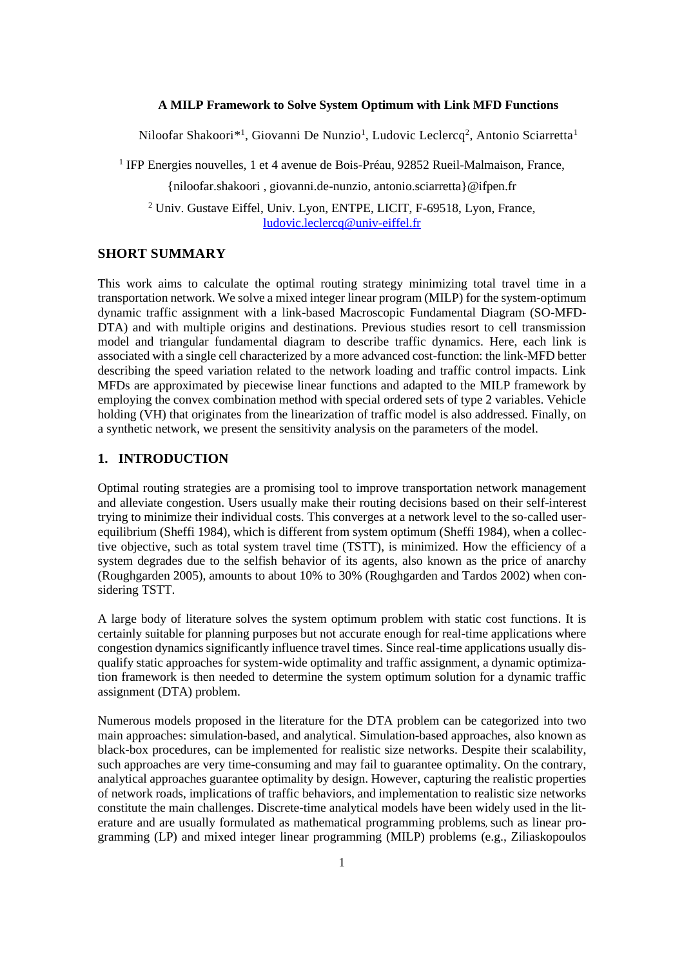#### **A MILP Framework to Solve System Optimum with Link MFD Functions**

Niloofar Shakoori\*<sup>1</sup>, Giovanni De Nunzio<sup>1</sup>, Ludovic Leclercq<sup>2</sup>, Antonio Sciarretta<sup>1</sup>

<sup>1</sup> IFP Energies nouvelles, 1 et 4 avenue de Bois-Préau, 92852 Rueil-Malmaison, France,

{niloofar.shakoori , giovanni.de-nunzio, antonio.sciarretta}@ifpen.fr

<sup>2</sup> Univ. Gustave Eiffel, Univ. Lyon, ENTPE, LICIT, F-69518, Lyon, France, [ludovic.leclercq@univ-eiffel.fr](mailto:ludovic.leclercq@univ-eiffel.fr)

### **SHORT SUMMARY**

This work aims to calculate the optimal routing strategy minimizing total travel time in a transportation network. We solve a mixed integer linear program (MILP) for the system-optimum dynamic traffic assignment with a link-based Macroscopic Fundamental Diagram (SO-MFD-DTA) and with multiple origins and destinations. Previous studies resort to cell transmission model and triangular fundamental diagram to describe traffic dynamics. Here, each link is associated with a single cell characterized by a more advanced cost-function: the link-MFD better describing the speed variation related to the network loading and traffic control impacts. Link MFDs are approximated by piecewise linear functions and adapted to the MILP framework by employing the convex combination method with special ordered sets of type 2 variables. Vehicle holding (VH) that originates from the linearization of traffic model is also addressed. Finally, on a synthetic network, we present the sensitivity analysis on the parameters of the model.

# **1. INTRODUCTION**

Optimal routing strategies are a promising tool to improve transportation network management and alleviate congestion. Users usually make their routing decisions based on their self-interest trying to minimize their individual costs. This converges at a network level to the so-called userequilibrium (Sheffi 1984), which is different from system optimum (Sheffi 1984), when a collective objective, such as total system travel time (TSTT), is minimized. How the efficiency of a system degrades due to the selfish behavior of its agents, also known as the price of anarchy (Roughgarden 2005), amounts to about 10% to 30% (Roughgarden and Tardos 2002) when considering TSTT.

A large body of literature solves the system optimum problem with static cost functions. It is certainly suitable for planning purposes but not accurate enough for real-time applications where congestion dynamics significantly influence travel times. Since real-time applications usually disqualify static approaches for system-wide optimality and traffic assignment, a dynamic optimization framework is then needed to determine the system optimum solution for a dynamic traffic assignment (DTA) problem.

Numerous models proposed in the literature for the DTA problem can be categorized into two main approaches: simulation-based, and analytical. Simulation-based approaches, also known as black-box procedures, can be implemented for realistic size networks. Despite their scalability, such approaches are very time-consuming and may fail to guarantee optimality. On the contrary, analytical approaches guarantee optimality by design. However, capturing the realistic properties of network roads, implications of traffic behaviors, and implementation to realistic size networks constitute the main challenges. Discrete-time analytical models have been widely used in the literature and are usually formulated as mathematical programming problems, such as linear programming (LP) and mixed integer linear programming (MILP) problems (e.g., Ziliaskopoulos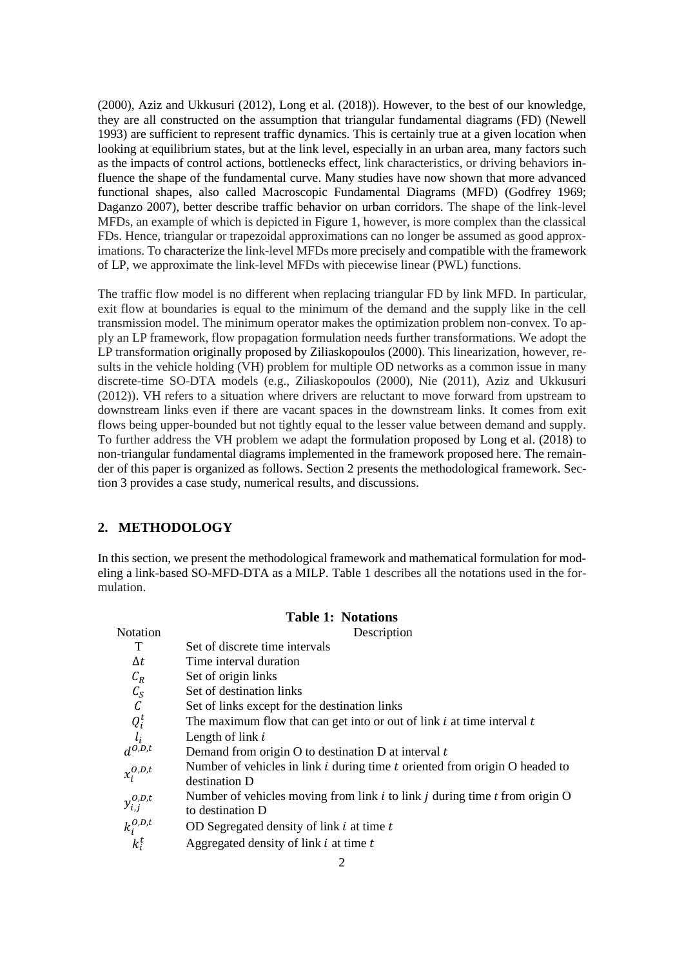(2000), Aziz and Ukkusuri (2012), Long et al. (2018)). However, to the best of our knowledge, they are all constructed on the assumption that triangular fundamental diagrams (FD) (Newell 1993) are sufficient to represent traffic dynamics. This is certainly true at a given location when looking at equilibrium states, but at the link level, especially in an urban area, many factors such as the impacts of control actions, bottlenecks effect, link characteristics, or driving behaviors influence the shape of the fundamental curve. Many studies have now shown that more advanced functional shapes, also called Macroscopic Fundamental Diagrams (MFD) (Godfrey 1969; Daganzo 2007), better describe traffic behavior on urban corridors. The shape of the link-level MFDs, an example of which is depicted in Figure 1, however, is more complex than the classical FDs. Hence, triangular or trapezoidal approximations can no longer be assumed as good approximations. To characterize the link-level MFDs more precisely and compatible with the framework of LP, we approximate the link-level MFDs with piecewise linear (PWL) functions.

The traffic flow model is no different when replacing triangular FD by link MFD. In particular, exit flow at boundaries is equal to the minimum of the demand and the supply like in the cell transmission model. The minimum operator makes the optimization problem non-convex. To apply an LP framework, flow propagation formulation needs further transformations. We adopt the LP transformation originally proposed by Ziliaskopoulos (2000). This linearization, however, results in the vehicle holding (VH) problem for multiple OD networks as a common issue in many discrete-time SO-DTA models (e.g., Ziliaskopoulos (2000), Nie (2011), Aziz and Ukkusuri (2012)). VH refers to a situation where drivers are reluctant to move forward from upstream to downstream links even if there are vacant spaces in the downstream links. It comes from exit flows being upper-bounded but not tightly equal to the lesser value between demand and supply. To further address the VH problem we adapt the formulation proposed by Long et al. (2018) to non-triangular fundamental diagrams implemented in the framework proposed here. The remainder of this paper is organized as follows. Section 2 presents the methodological framework. Section 3 provides a case study, numerical results, and discussions.

## **2. METHODOLOGY**

In this section, we present the methodological framework and mathematical formulation for modeling a link-based SO-MFD-DTA as a MILP. Table 1 describes all the notations used in the formulation.

**Table 1: Notations**

|                                                        | Table 1: Trouations                                                                                   |  |  |  |  |  |  |  |
|--------------------------------------------------------|-------------------------------------------------------------------------------------------------------|--|--|--|--|--|--|--|
| Notation                                               | Description                                                                                           |  |  |  |  |  |  |  |
| T                                                      | Set of discrete time intervals                                                                        |  |  |  |  |  |  |  |
| $\Delta t$                                             | Time interval duration                                                                                |  |  |  |  |  |  |  |
| $C_R$                                                  | Set of origin links                                                                                   |  |  |  |  |  |  |  |
|                                                        | Set of destination links                                                                              |  |  |  |  |  |  |  |
| $\overrightarrow{C_S}$                                 | Set of links except for the destination links                                                         |  |  |  |  |  |  |  |
| $\begin{array}{c} Q_i^t\\ l_i\\ d^{0,D,t} \end{array}$ | The maximum flow that can get into or out of link $i$ at time interval $t$                            |  |  |  |  |  |  |  |
|                                                        | Length of link $i$                                                                                    |  |  |  |  |  |  |  |
|                                                        | Demand from origin $O$ to destination $D$ at interval $t$                                             |  |  |  |  |  |  |  |
| $x_i^{O,D,t}$                                          | Number of vehicles in link $i$ during time $t$ oriented from origin $O$ headed to<br>destination D    |  |  |  |  |  |  |  |
| $y_{i,j}^{0,D,t}$                                      | Number of vehicles moving from link $i$ to link $j$ during time $t$ from origin O<br>to destination D |  |  |  |  |  |  |  |
| $k_i^{0,D,t}$                                          | OD Segregated density of link $i$ at time $t$                                                         |  |  |  |  |  |  |  |
| $k_i^t$                                                | Aggregated density of link $i$ at time $t$                                                            |  |  |  |  |  |  |  |
|                                                        |                                                                                                       |  |  |  |  |  |  |  |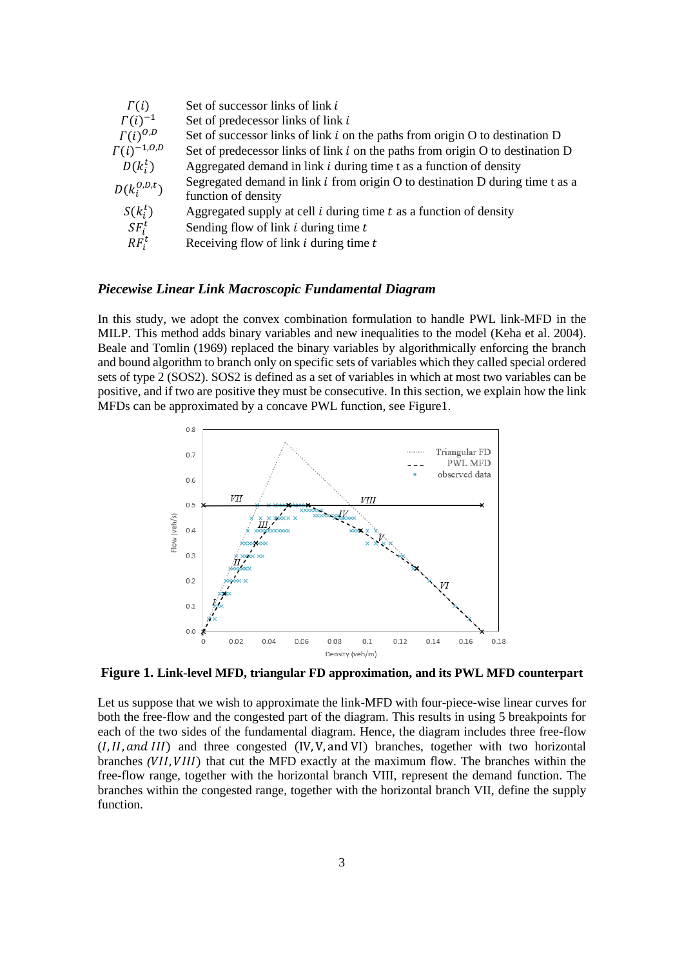| $\Gamma(i)$          | Set of successor links of link i                                                                           |
|----------------------|------------------------------------------------------------------------------------------------------------|
| $\Gamma(i)^{-1}$     | Set of predecessor links of link i                                                                         |
| $\Gamma(i)^{0,D}$    | Set of successor links of link $i$ on the paths from origin $O$ to destination $D$                         |
| $\Gamma(i)^{-1,0,0}$ | Set of predecessor links of link $i$ on the paths from origin $O$ to destination $D$                       |
| $D(k_i^t)$           | Aggregated demand in link <i>i</i> during time t as a function of density                                  |
| $D(k_i^{0,D,t})$     | Segregated demand in link $i$ from origin $O$ to destination $D$ during time t as a<br>function of density |
| $S(k_i^t)$           | Aggregated supply at cell $i$ during time $t$ as a function of density                                     |
| $SF_i^t$             | Sending flow of link $i$ during time $t$                                                                   |
| $RF_i^t$             | Receiving flow of link $i$ during time $t$                                                                 |

## *Piecewise Linear Link Macroscopic Fundamental Diagram*

In this study, we adopt the convex combination formulation to handle PWL link-MFD in the MILP. This method adds binary variables and new inequalities to the model (Keha et al. 2004). Beale and Tomlin (1969) replaced the binary variables by algorithmically enforcing the branch and bound algorithm to branch only on specific sets of variables which they called special ordered sets of type 2 (SOS2). SOS2 is defined as a set of variables in which at most two variables can be positive, and if two are positive they must be consecutive. In this section, we explain how the link MFDs can be approximated by a concave PWL function, see Figure1.



**Figure 1. Link-level MFD, triangular FD approximation, and its PWL MFD counterpart** 

Let us suppose that we wish to approximate the link-MFD with four-piece-wise linear curves for both the free-flow and the congested part of the diagram. This results in using 5 breakpoints for each of the two sides of the fundamental diagram. Hence, the diagram includes three free-flow  $(I, II, and III)$  and three congested  $(IV, V, and VI)$  branches, together with two horizontal branches *(VII, VIII)* that cut the MFD exactly at the maximum flow. The branches within the free-flow range, together with the horizontal branch VIII, represent the demand function. The branches within the congested range, together with the horizontal branch VII, define the supply function.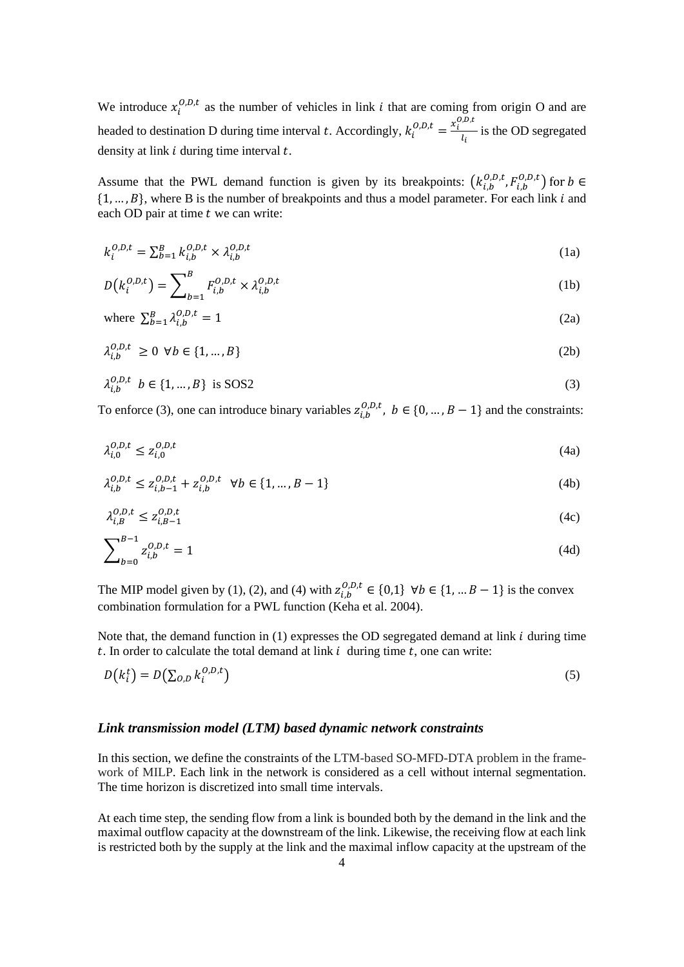We introduce  $x_i^{0,D,t}$  as the number of vehicles in link *i* that are coming from origin O and are headed to destination D during time interval t. Accordingly,  $k_i^{O,D,t} = \frac{x_i^{O,D,t}}{l}$  $\frac{1}{l_i}$  is the OD segregated density at link  $i$  during time interval  $t$ .

Assume that the PWL demand function is given by its breakpoints:  $(k_{i,b}^{0,D,t}, F_{i,b}^{0,D,t})$  for  $b \in$  $\{1, \ldots, B\}$ , where B is the number of breakpoints and thus a model parameter. For each link *i* and each OD pair at time  $t$  we can write:

$$
k_i^{0,D,t} = \sum_{b=1}^B k_{i,b}^{0,D,t} \times \lambda_{i,b}^{0,D,t}
$$
 (1a)

$$
D(k_i^{0,D,t}) = \sum_{b=1}^{B} F_{i,b}^{0,D,t} \times \lambda_{i,b}^{0,D,t}
$$
 (1b)

where 
$$
\sum_{b=1}^{B} \lambda_{i,b}^{0,D,t} = 1
$$
 (2a)

$$
\lambda_{i,b}^{0,D,t} \ge 0 \ \forall b \in \{1, ..., B\}
$$
 (2b)

$$
\lambda_{i,b}^{0,D,t} \ b \in \{1, \dots, B\} \ \text{is SOS2} \tag{3}
$$

To enforce (3), one can introduce binary variables  $z_{i,b}^{0,D,t}$ ,  $b \in \{0, ..., B-1\}$  and the constraints:

$$
\lambda_{i,0}^{0,D,t} \le z_{i,0}^{0,D,t} \tag{4a}
$$

$$
\lambda_{i,b}^{0,D,t} \le z_{i,b-1}^{0,D,t} + z_{i,b}^{0,D,t} \quad \forall b \in \{1, ..., B-1\}
$$
\n
$$
(4b)
$$

$$
\lambda_{i,B}^{0,D,t} \le z_{i,B-1}^{0,D,t} \tag{4c}
$$

$$
\sum_{b=0}^{B-1} z_{i,b}^{0,D,t} = 1
$$
\n(4d)

The MIP model given by (1), (2), and (4) with  $z_{i,b}^{0,D,t} \in \{0,1\}$   $\forall b \in \{1, ... B-1\}$  is the convex combination formulation for a PWL function (Keha et al. 2004).

Note that, the demand function in  $(1)$  expresses the OD segregated demand at link  $i$  during time t. In order to calculate the total demand at link  $i$  during time  $t$ , one can write:

$$
D(k_i^t) = D(\sum_{O,D} k_i^{O,D,t})
$$
\n<sup>(5)</sup>

### *Link transmission model (LTM) based dynamic network constraints*

In this section, we define the constraints of the LTM-based SO-MFD-DTA problem in the framework of MILP. Each link in the network is considered as a cell without internal segmentation. The time horizon is discretized into small time intervals.

At each time step, the sending flow from a link is bounded both by the demand in the link and the maximal outflow capacity at the downstream of the link. Likewise, the receiving flow at each link is restricted both by the supply at the link and the maximal inflow capacity at the upstream of the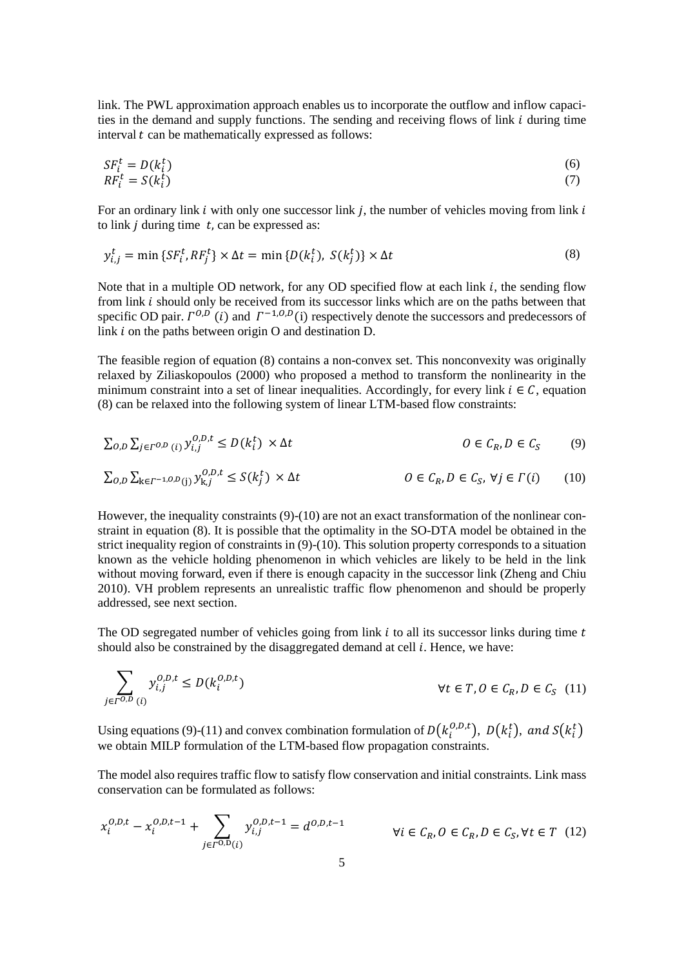link. The PWL approximation approach enables us to incorporate the outflow and inflow capacities in the demand and supply functions. The sending and receiving flows of link  $i$  during time interval  $t$  can be mathematically expressed as follows:

$$
SF_i^t = D(k_i^t)
$$
  
\n
$$
RF_i^t = S(k_i^t)
$$
\n(6)

For an ordinary link  $i$  with only one successor link  $j$ , the number of vehicles moving from link  $i$ to link *j* during time  $t$ , can be expressed as:

$$
y_{i,j}^t = \min \{ SF_i^t, RF_j^t \} \times \Delta t = \min \{ D(k_i^t), S(k_j^t) \} \times \Delta t \tag{8}
$$

Note that in a multiple OD network, for any OD specified flow at each link  $i$ , the sending flow from link  $i$  should only be received from its successor links which are on the paths between that specific OD pair.  $\Gamma^{0,D}(i)$  and  $\Gamma^{-1,0,D}(i)$  respectively denote the successors and predecessors of link  $i$  on the paths between origin O and destination D.

The feasible region of equation (8) contains a non-convex set. This nonconvexity was originally relaxed by Ziliaskopoulos (2000) who proposed a method to transform the nonlinearity in the minimum constraint into a set of linear inequalities. Accordingly, for every link  $i \in \mathcal{C}$ , equation (8) can be relaxed into the following system of linear LTM-based flow constraints:

$$
\sum_{O,D} \sum_{j \in \Gamma^{O,D}(i)} y_{i,j}^{O,D,t} \le D(k_i^t) \times \Delta t \qquad O \in \mathcal{C}_R, D \in \mathcal{C}_S \qquad (9)
$$

$$
\sum_{O,D} \sum_{k \in \Gamma^{-1, O,D}(j)} y_{k,j}^{O,D,t} \le S(k_j^t) \times \Delta t \qquad O \in C_R, D \in C_S, \forall j \in \Gamma(i) \qquad (10)
$$

However, the inequality constraints (9)-(10) are not an exact transformation of the nonlinear constraint in equation (8). It is possible that the optimality in the SO-DTA model be obtained in the strict inequality region of constraints in (9)-(10). This solution property corresponds to a situation known as the vehicle holding phenomenon in which vehicles are likely to be held in the link without moving forward, even if there is enough capacity in the successor link (Zheng and Chiu 2010). VH problem represents an unrealistic traffic flow phenomenon and should be properly addressed, see next section.

The OD segregated number of vehicles going from link  $i$  to all its successor links during time  $t$ should also be constrained by the disaggregated demand at cell  $i$ . Hence, we have:

$$
\sum_{j \in \Gamma^{O,D}(i)} y_{i,j}^{O,D,t} \le D(k_i^{O,D,t}) \qquad \forall t \in T, 0 \in C_R, D \in C_S \quad (11)
$$

Using equations (9)-(11) and convex combination formulation of  $D(k_i^{(0,D,t})$ ,  $D(k_i^t)$ , and  $S(k_i^t)$ we obtain MILP formulation of the LTM-based flow propagation constraints.

The model also requires traffic flow to satisfy flow conservation and initial constraints. Link mass conservation can be formulated as follows:

$$
x_i^{0,D,t} - x_i^{0,D,t-1} + \sum_{j \in \Gamma^{0,D}(i)} y_{i,j}^{0,D,t-1} = d^{0,D,t-1} \qquad \forall i \in C_R, 0 \in C_R, D \in C_S, \forall t \in T \tag{12}
$$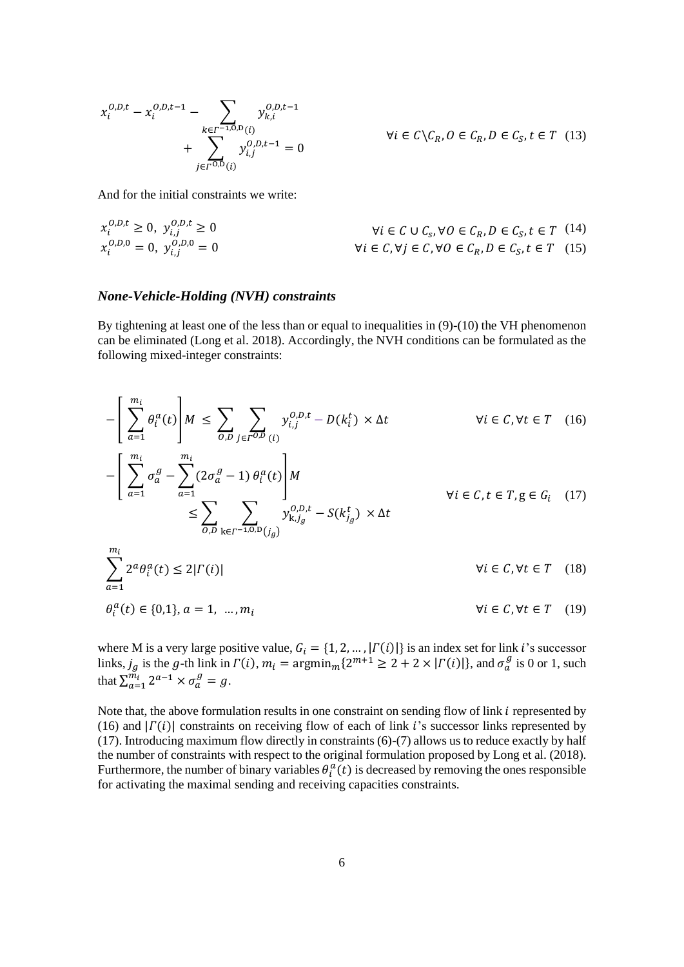$$
x_i^{0,D,t} - x_i^{0,D,t-1} - \sum_{k \in \Gamma^{-1,0,D}(i)} y_{k,i}^{0,D,t-1} + \sum_{j \in \Gamma^{0,D}(i)} y_{i,j}^{0,D,t-1} = 0
$$

 $\forall i \in C \setminus C_R, 0 \in C_R, D \in C_S, t \in T$  (13)

And for the initial constraints we write:

$$
x_i^{0,D,t} \ge 0, \ y_{i,j}^{0,D,t} \ge 0
$$
  
\n
$$
x_i^{0,D,0} = 0, \ y_{i,j}^{0,D,0} = 0
$$
  
\n
$$
\forall i \in C, \forall j \in C, \forall 0 \in C_R, D \in C_S, t \in T \quad (14)
$$
  
\n
$$
\forall i \in C, \forall j \in C, \forall 0 \in C_R, D \in C_S, t \in T \quad (15)
$$

#### *None-Vehicle-Holding (NVH) constraints*

By tightening at least one of the less than or equal to inequalities in (9)-(10) the VH phenomenon can be eliminated (Long et al. 2018). Accordingly, the NVH conditions can be formulated as the following mixed-integer constraints:

$$
-\left[\sum_{a=1}^{m_i} \theta_i^a(t)\right]M \le \sum_{o,D} \sum_{j \in \Gamma^{O,D}} y_{i,j}^{o,D,t} - D(k_i^t) \times \Delta t \qquad \forall i \in C, \forall t \in T \quad (16)
$$
  

$$
-\left[\sum_{a=1}^{m_i} \sigma_a^g - \sum_{a=1}^{m_i} (2\sigma_a^g - 1) \theta_i^a(t)\right]M
$$
  

$$
\le \sum_{o,D} \sum_{k \in T^{-1,O,D}(j_g)} y_{k,j_g}^{o,D,t} - S(k_{j_g}^t) \times \Delta t \qquad \forall i \in C, t \in T, g \in G_i \quad (17)
$$
  

$$
\sum_{o} \sum_{k \in T^{-1,O,D}(j_g)} y_{k,j_g}^{o,D,t} - S(k_{j_g}^t) \times \Delta t \qquad \forall i \in C, \forall t \in T \quad (18)
$$

$$
\sum_{a=1}^{1} 2^a \theta_i^a(t) \le 2|\Gamma(i)| \qquad \forall i \in \mathcal{C}, \forall t \in \mathcal{T} \quad (18)
$$
  

$$
\theta_i^a(t) \in \{0,1\}, a = 1, ..., m_i \qquad \forall i \in \mathcal{C}, \forall t \in \mathcal{T} \quad (19)
$$

where M is a very large positive value,  $G_i = \{1, 2, ..., |T(i)|\}$  is an index set for link *i*'s successor links,  $j_g$  is the g-th link in  $\Gamma(i)$ ,  $m_i = \text{argmin}_m\{2^{m+1} \ge 2 + 2 \times |\Gamma(i)|\}$ , and  $\sigma_a^g$  is 0 or 1, such that  $\sum_{a=1}^{\widetilde{m}_i} 2^{a-1} \times \sigma_a^g = g$ .

Note that, the above formulation results in one constraint on sending flow of link  $i$  represented by (16) and  $|\Gamma(i)|$  constraints on receiving flow of each of link i's successor links represented by (17). Introducing maximum flow directly in constraints (6)-(7) allows us to reduce exactly by half the number of constraints with respect to the original formulation proposed by Long et al. (2018). Furthermore, the number of binary variables  $\theta_i^a(t)$  is decreased by removing the ones responsible for activating the maximal sending and receiving capacities constraints.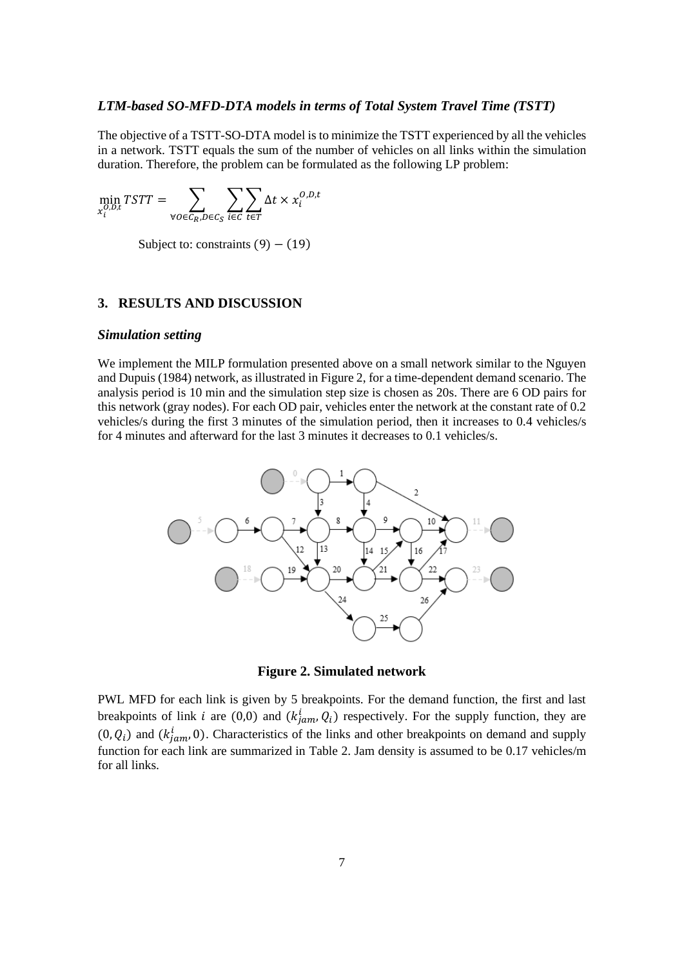### *LTM-based SO-MFD-DTA models in terms of Total System Travel Time (TSTT)*

The objective of a TSTT-SO-DTA model is to minimize the TSTT experienced by all the vehicles in a network. TSTT equals the sum of the number of vehicles on all links within the simulation duration. Therefore, the problem can be formulated as the following LP problem:

$$
\min_{x_i^{0,D,t}} TSTT = \sum_{\forall o \in C_R, D \in C_S} \sum_{i \in C} \sum_{t \in T} \Delta t \times x_i^{0,D,t}
$$

Subject to: constraints  $(9) - (19)$ 

### **3. RESULTS AND DISCUSSION**

#### *Simulation setting*

We implement the MILP formulation presented above on a small network similar to the Nguyen and Dupuis (1984) network, as illustrated in Figure 2, for a time-dependent demand scenario. The analysis period is 10 min and the simulation step size is chosen as 20s. There are 6 OD pairs for this network (gray nodes). For each OD pair, vehicles enter the network at the constant rate of 0.2 vehicles/s during the first 3 minutes of the simulation period, then it increases to 0.4 vehicles/s for 4 minutes and afterward for the last 3 minutes it decreases to 0.1 vehicles/s.



**Figure 2. Simulated network**

PWL MFD for each link is given by 5 breakpoints. For the demand function, the first and last breakpoints of link *i* are (0,0) and  $(k_{jam}^i, Q_i)$  respectively. For the supply function, they are  $(0, Q_i)$  and  $(k_{jam}^i, 0)$ . Characteristics of the links and other breakpoints on demand and supply function for each link are summarized in Table 2. Jam density is assumed to be 0.17 vehicles/m for all links.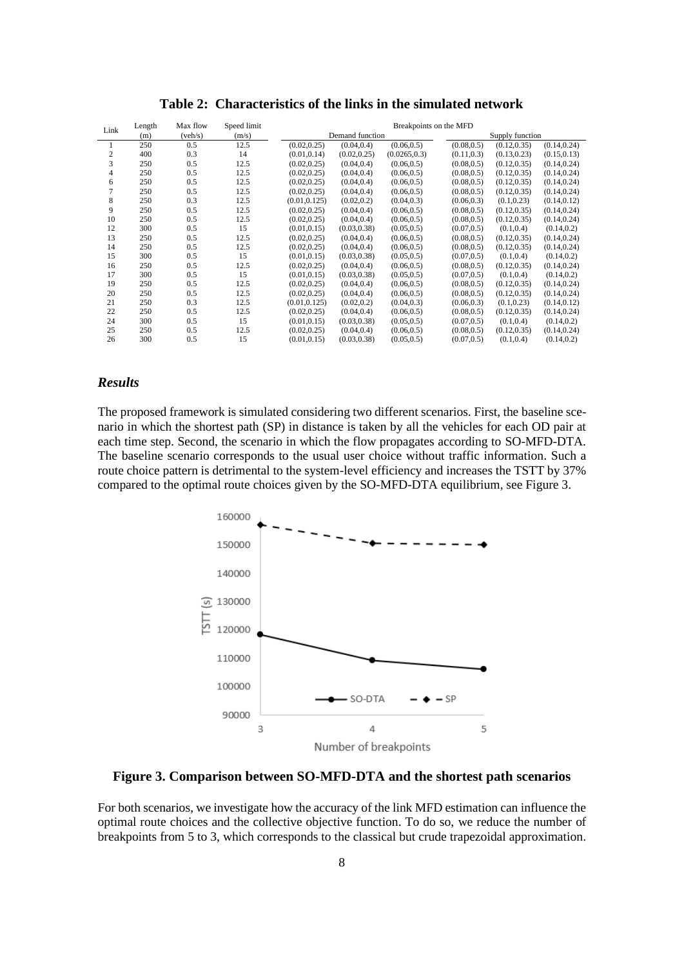| Link           | Length | Max flow | Speed limit | Breakpoints on the MFD |              |               |                 |              |              |
|----------------|--------|----------|-------------|------------------------|--------------|---------------|-----------------|--------------|--------------|
|                | (m)    | (veh/s)  | (m/s)       | Demand function        |              |               | Supply function |              |              |
|                | 250    | 0.5      | 12.5        | (0.02, 0.25)           | (0.04, 0.4)  | (0.06, 0.5)   | (0.08, 0.5)     | (0.12, 0.35) | (0.14, 0.24) |
| $\overline{c}$ | 400    | 0.3      | 14          | (0.01, 0.14)           | (0.02, 0.25) | (0.0265, 0.3) | (0.11, 0.3)     | (0.13, 0.23) | (0.15, 0.13) |
| 3              | 250    | 0.5      | 12.5        | (0.02, 0.25)           | (0.04, 0.4)  | (0.06, 0.5)   | (0.08, 0.5)     | (0.12, 0.35) | (0.14, 0.24) |
| 4              | 250    | 0.5      | 12.5        | (0.02, 0.25)           | (0.04, 0.4)  | (0.06, 0.5)   | (0.08, 0.5)     | (0.12, 0.35) | (0.14, 0.24) |
| 6              | 250    | 0.5      | 12.5        | (0.02, 0.25)           | (0.04, 0.4)  | (0.06, 0.5)   | (0.08, 0.5)     | (0.12, 0.35) | (0.14, 0.24) |
|                | 250    | 0.5      | 12.5        | (0.02, 0.25)           | (0.04, 0.4)  | (0.06, 0.5)   | (0.08, 0.5)     | (0.12, 0.35) | (0.14, 0.24) |
| 8              | 250    | 0.3      | 12.5        | (0.01.0.125)           | (0.02, 0.2)  | (0.04, 0.3)   | (0.06, 0.3)     | (0.1, 0.23)  | (0.14, 0.12) |
| 9              | 250    | 0.5      | 12.5        | (0.02, 0.25)           | (0.04, 0.4)  | (0.06, 0.5)   | (0.08, 0.5)     | (0.12, 0.35) | (0.14, 0.24) |
| 10             | 250    | 0.5      | 12.5        | (0.02, 0.25)           | (0.04, 0.4)  | (0.06, 0.5)   | (0.08, 0.5)     | (0.12, 0.35) | (0.14, 0.24) |
| 12             | 300    | 0.5      | 15          | (0.01, 0.15)           | (0.03, 0.38) | (0.05, 0.5)   | (0.07, 0.5)     | (0.1, 0.4)   | (0.14, 0.2)  |
| 13             | 250    | 0.5      | 12.5        | (0.02, 0.25)           | (0.04, 0.4)  | (0.06, 0.5)   | (0.08, 0.5)     | (0.12, 0.35) | (0.14, 0.24) |
| 14             | 250    | 0.5      | 12.5        | (0.02, 0.25)           | (0.04, 0.4)  | (0.06, 0.5)   | (0.08, 0.5)     | (0.12, 0.35) | (0.14, 0.24) |
| 15             | 300    | 0.5      | 15          | (0.01.0.15)            | (0.03, 0.38) | (0.05, 0.5)   | (0.07, 0.5)     | (0.1, 0.4)   | (0.14, 0.2)  |
| 16             | 250    | 0.5      | 12.5        | (0.02, 0.25)           | (0.04, 0.4)  | (0.06, 0.5)   | (0.08, 0.5)     | (0.12, 0.35) | (0.14, 0.24) |
| 17             | 300    | 0.5      | 15          | (0.01, 0.15)           | (0.03, 0.38) | (0.05, 0.5)   | (0.07, 0.5)     | (0.1, 0.4)   | (0.14, 0.2)  |
| 19             | 250    | 0.5      | 12.5        | (0.02, 0.25)           | (0.04, 0.4)  | (0.06, 0.5)   | (0.08, 0.5)     | (0.12, 0.35) | (0.14, 0.24) |
| 20             | 250    | 0.5      | 12.5        | (0.02, 0.25)           | (0.04, 0.4)  | (0.06, 0.5)   | (0.08, 0.5)     | (0.12, 0.35) | (0.14, 0.24) |
| 21             | 250    | 0.3      | 12.5        | (0.01, 0.125)          | (0.02, 0.2)  | (0.04, 0.3)   | (0.06, 0.3)     | (0.1, 0.23)  | (0.14, 0.12) |
| 22             | 250    | 0.5      | 12.5        | (0.02, 0.25)           | (0.04, 0.4)  | (0.06, 0.5)   | (0.08, 0.5)     | (0.12, 0.35) | (0.14, 0.24) |
| 24             | 300    | 0.5      | 15          | (0.01, 0.15)           | (0.03, 0.38) | (0.05, 0.5)   | (0.07, 0.5)     | (0.1, 0.4)   | (0.14, 0.2)  |
| 25             | 250    | 0.5      | 12.5        | (0.02, 0.25)           | (0.04, 0.4)  | (0.06, 0.5)   | (0.08, 0.5)     | (0.12, 0.35) | (0.14, 0.24) |
| 26             | 300    | 0.5      | 15          | (0.01, 0.15)           | (0.03, 0.38) | (0.05, 0.5)   | (0.07, 0.5)     | (0.1, 0.4)   | (0.14, 0.2)  |

**Table 2: Characteristics of the links in the simulated network**

### *Results*

The proposed framework is simulated considering two different scenarios. First, the baseline scenario in which the shortest path (SP) in distance is taken by all the vehicles for each OD pair at each time step. Second, the scenario in which the flow propagates according to SO-MFD-DTA. The baseline scenario corresponds to the usual user choice without traffic information. Such a route choice pattern is detrimental to the system-level efficiency and increases the TSTT by 37% compared to the optimal route choices given by the SO-MFD-DTA equilibrium, see Figure 3.



**Figure 3. Comparison between SO-MFD-DTA and the shortest path scenarios**

For both scenarios, we investigate how the accuracy of the link MFD estimation can influence the optimal route choices and the collective objective function. To do so, we reduce the number of breakpoints from 5 to 3, which corresponds to the classical but crude trapezoidal approximation.